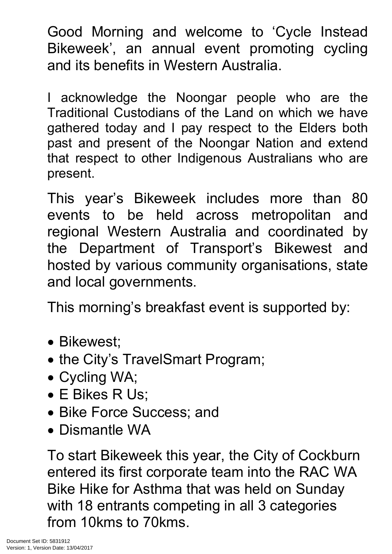Good Morning and welcome to 'Cycle Instead Bikeweek', an annual event promoting cycling and its benefits in Western Australia.

I acknowledge the Noongar people who are the Traditional Custodians of the Land on which we have gathered today and I pay respect to the Elders both past and present of the Noongar Nation and extend that respect to other Indigenous Australians who are present.

This year's Bikeweek includes more than 80 events to be held across metropolitan and regional Western Australia and coordinated by the Department of Transport's Bikewest and hosted by various community organisations, state and local governments.

This morning's breakfast event is supported by:

- Bikewest;
- the City's TravelSmart Program;
- Cycling WA;
- E Bikes R Us;
- Bike Force Success; and
- Dismantle WA

To start Bikeweek this year, the City of Cockburn entered its first corporate team into the RAC WA Bike Hike for Asthma that was held on Sunday with 18 entrants competing in all 3 categories from 10kms to 70kms.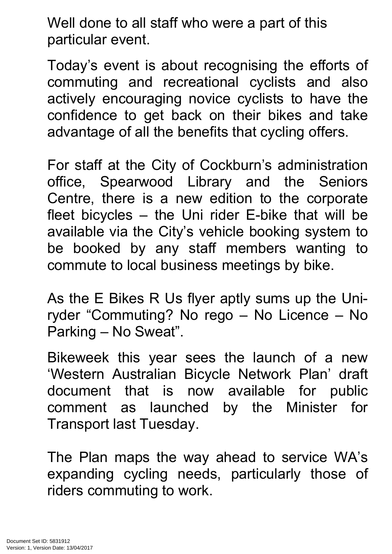Well done to all staff who were a part of this particular event.

Today's event is about recognising the efforts of commuting and recreational cyclists and also actively encouraging novice cyclists to have the confidence to get back on their bikes and take advantage of all the benefits that cycling offers.

For staff at the City of Cockburn's administration office, Spearwood Library and the Seniors Centre, there is a new edition to the corporate fleet bicycles – the Uni rider E-bike that will be available via the City's vehicle booking system to be booked by any staff members wanting to commute to local business meetings by bike.

As the E Bikes R Us flyer aptly sums up the Uniryder "Commuting? No rego – No Licence – No Parking – No Sweat".

Bikeweek this year sees the launch of a new 'Western Australian Bicycle Network Plan' draft document that is now available for public comment as launched by the Minister for Transport last Tuesday.

The Plan maps the way ahead to service WA's expanding cycling needs, particularly those of riders commuting to work.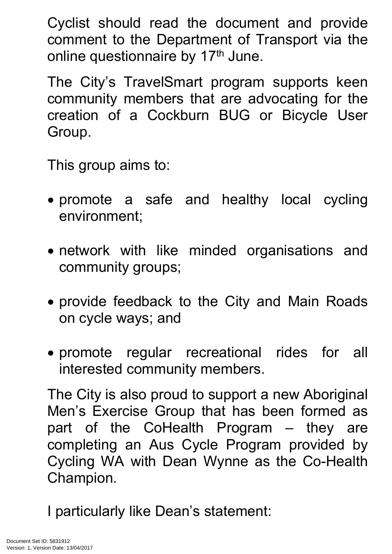Cyclist should read the document and provide comment to the Department of Transport via the online questionnaire by 17<sup>th</sup> June.

The City's TravelSmart program supports keen community members that are advocating for the creation of a Cockburn BUG or Bicycle User Group.

This group aims to:

- promote a safe and healthy local cycling environment;
- network with like minded organisations and community groups;
- provide feedback to the City and Main Roads on cycle ways; and
- promote regular recreational rides for all interested community members.

The City is also proud to support a new Aboriginal Men's Exercise Group that has been formed as part of the CoHealth Program – they are completing an Aus Cycle Program provided by Cycling WA with Dean Wynne as the Co-Health Champion.

I particularly like Dean's statement: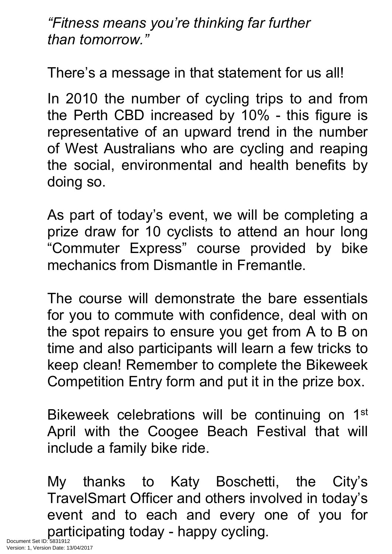*"Fitness means you're thinking far further than tomorrow."*

There's a message in that statement for us all!

In 2010 the number of cycling trips to and from the Perth CBD increased by 10% - this figure is representative of an upward trend in the number of West Australians who are cycling and reaping the social, environmental and health benefits by doing so.

As part of today's event, we will be completing a prize draw for 10 cyclists to attend an hour long "Commuter Express" course provided by bike mechanics from Dismantle in Fremantle.

The course will demonstrate the bare essentials for you to commute with confidence, deal with on the spot repairs to ensure you get from A to B on time and also participants will learn a few tricks to keep clean! Remember to complete the Bikeweek Competition Entry form and put it in the prize box.

Bikeweek celebrations will be continuing on 1<sup>st</sup> April with the Coogee Beach Festival that will include a family bike ride.

My thanks to Katy Boschetti, the City's TravelSmart Officer and others involved in today's event and to each and every one of you for Document Set ID: 5831912<br>Document Set ID: 5831912